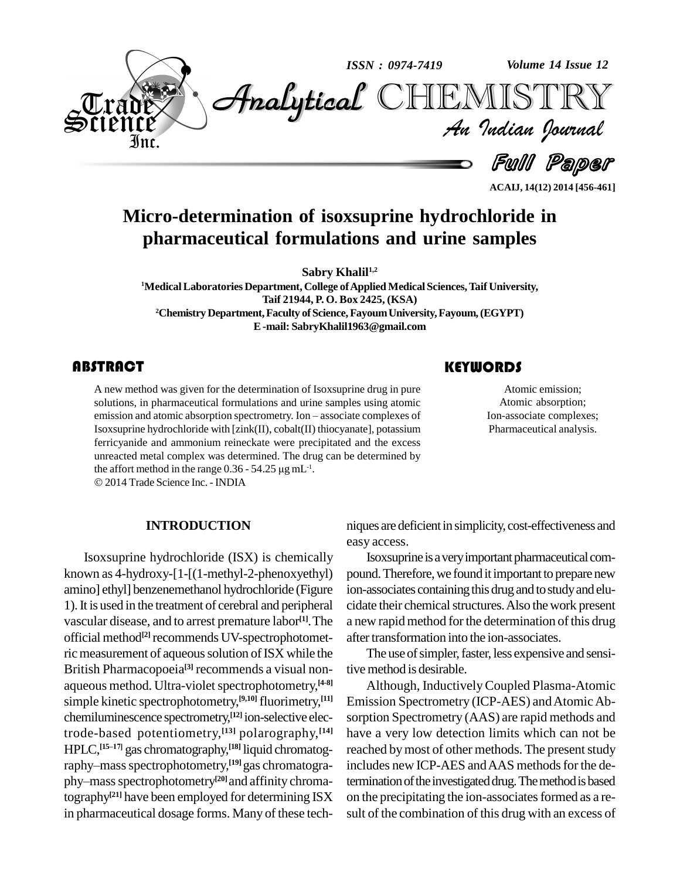

**ACAIJ, 14(12) 2014 [456-461]**

# **Micro-determination of isoxsuprine hydrochloride in pharmaceutical formulations and urine samples**

**Sabry Khalil1,2**

<sup>1</sup>**Medical Laboratories Department, College of Applied Medical Sciences, Taif University, Taif 21944, P. O. Box 2425, (KSA)** <sup>2</sup>**Chemistry Department, Faculty of Science, Fayoum University, Fayoum, (EGYPT) E-mail: [SabryKhalil1963@gmail.com](mailto:SabryKhalil1963@gmail.com)**

A new method was giver<br>solutions, in pharmaceut<br>emission and atomic abso A new method was given for the determination of Isoxsuprine drug in pure solutions, in pharmaceutical formulations and urine samples using atomic A new method was given for the determination of Isoxsuprine drug in pure<br>solutions, in pharmaceutical formulations and urine samples using atomic<br>emission and atomic absorption spectrometry. Ion – associate complexes of Isoxsuprine hydrochloride with [zink(II), cobalt(II) thiocyanate], potassium ferricyanide and ammonium reineckate were precipitated and the excess unreacted metal complex was determined. The drug can be determined by the affort method in the range  $0.36 - 54.25 \mu g \text{ mL}^{-1}$ . unreacted metal complex was determined. The drug can be determined by the affort method in the range  $0.36 - 54.25 \mu g \text{ mL}^{-1}$ . the affort method in the range  $0.36 - 54.25 \,\mu g \,\text{mL}^{-1}$ .

2014 Trade Science Inc. -INDIA

#### **INTRODUCTION**

Isoxsuprine hydrochloride (ISX) is chemically known as 4-hydroxy-[1-[(1-methyl-2-phenoxyethyl) amino] ethyl] benzenemethanol hydrochloride (Figure 1).It is used in the treatment of cerebral and peripheral vascular disease, and to arrest premature labor **[1]**.The official method **[2]** recommends UV-spectrophotometric measurement of aqueous solution of ISX while the British Pharmacopoeia<sup>[3]</sup> recommends a visual non- tive aqueous method. Ultra-violet spectrophotometry, <sup>[4-8]</sup> simple kinetic spectrophotometry,<sup>[9,10]</sup> fluorimetry,<sup>[11]</sup> E chemiluminescence spectrometry, **[12]** ion-selective electrode-based potentiometry, **[13]** polarography, **[14]** trode-based potentiometry,<sup>[13]</sup> polarography,<sup>[14]</sup><br>HPLC,<sup>[15–17]</sup> gas chromatography,<sup>[18]</sup> liquid chromatogtrode-based potentiometry,<sup>[13]</sup> po<br>HPLC,<sup>[15–17]</sup> gas chromatography,<sup>[18]</sup> lic<br>raphy–mass spectrophotometry,<sup>[19]</sup> ga raphy-mass spectrophotometry,<sup>[19]</sup> gas chromatogra-HPLC,<sup>[15–17]</sup> gas chromatography,<sup>[18]</sup> liqui<br>raphy–mass spectrophotometry,<sup>[19]</sup> gas o<br>phy–mass spectrophotometry<sup>[20]</sup> and aff phy–mass spectrophotometry<sup>[20]</sup> and affinity chromatography<sup>[21]</sup> have been employed for determining ISX on the preci in pharmaceutical dosage forms. Many of these tech-

## **KEYWORDS**

Atomic emission;<br>Atomic absorption;<br>Ion-associate complexes; Atomic emission; Atomic absorption; Pharmaceutical analysis.

niques are deficient in simplicity, cost-effectiveness and easy access.

Isoxsuprine is a very important pharmaceutical compound. Therefore, we found it important to prepare new ion-associates containing this drug and to study and elucidate their chemical structures. Also the work present a new rapid method for the determination of this drug after transformation into the ion-associates.

The use of simpler, faster, less expensive and sensitivemethod is desirable.

Although, InductivelyCoupled Plasma-Atomic Emission Spectrometry (ICP-AES) and Atomic Absorption Spectrometry (AAS) are rapid methods and have a very low detection limits which can not be reached by most of other methods. The present study includes new ICP-AES and AAS methods for the determination of the investigated drug. The method is based on the precipitating the ion-associates formed as a result of the combination of this drug with an excess of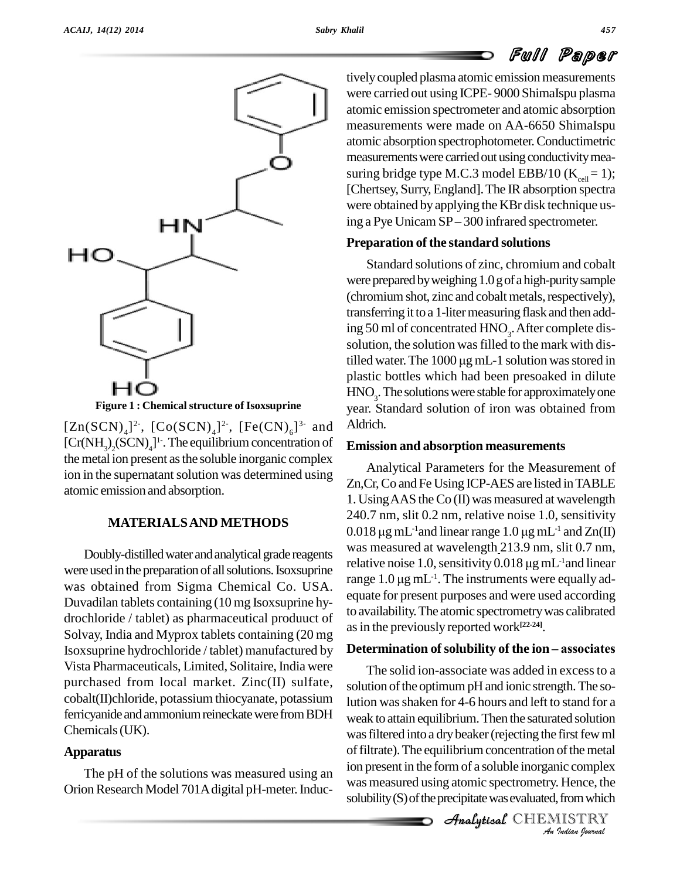# Full Paper





 $[Zn(SCN)<sub>4</sub>]<sup>2</sup>$ ,  $[Co(SCN)<sub>4</sub>]<sup>2</sup>$ ,  $[Fe(CN)<sub>6</sub>]$ <sup>3</sup> and Aldrich  $[Cr(NH<sub>3</sub>)<sub>2</sub>(SCN)<sub>4</sub>]$ <sup>1</sup>. The equilibrium concentration of Emi the metal ion present as the soluble inorganic complex ion in the supernatant solution was determined using atomic emission and absorption.

### **MATERIALSAND METHODS**

Doubly-distilled water and analytical grade reagents were used in the preparation of all solutions. Isox suprine was obtained from Sigma Chemical Co. USA. Duvadilan tablets containing (10 mg Isoxsuprine hy drochloride / tablet) as pharmaceutical produuct of Solvay, India and Myprox tablets containing (20 mg Isoxsuprine hydrochloride / tablet) manufactured by Vista Pharmaceuticals, Limited, Solitaire, India were purchased from local market. Zinc(II) sulfate, cobalt(II)chloride, potassium thiocyanate, potassium ferricyanide and ammonium reineckate were from BDH Chemicals(UK).

#### **Apparatus**

The pH of the solutions was measured using an Orion Research Model 701A digital pH-meter. Inductively coupled plasma atomic emission measurements were carried out using ICPE- 9000 ShimaIspu plasma atomic emission spectrometer and atomic absorption measurements were made on AA-6650 ShimaIspu atomic absorption spectrophotometer.Conductimetric measurements were carried out using conductivity measuring bridge type M.C.3 model EBB/10 ( $K_{cell} = 1$ ); [Chertsey, Surry, England]. The IR absorption spectra<br>were obtained by applying the KBr disk technique us-<br>ing a Pye Unicam SP – 300 infrared spectrometer. were obtained by applying the KBr disk technique us-

#### **Preparation of the standard solutions**

Standard solutions of zinc, chromium and cobalt were prepared by weighing 1.0 g of a high-purity sample (chromium shot, zinc and cobalt metals, respectively), transferring it to a 1-litermeasuring flask and then adding 50 ml of concentrated HNO<sub>3</sub>. After complete dissolution, the solution was filled to the mark with distilled water. The 1000 μg mL-1 solution was stored in solution, the solution was filled to the mark with displastic bottles which had been presoaked in dilute  $\mathrm{HNO}_3$ . The solutions were stable for approximately one year. Standard solution of iron was obtained from Aldrich.

#### **Emission and absorption measurements**

Analytical Parameters for the Measurement of Zn,Cr,Co and Fe Using ICP-AES are listed inTABLE 1. Using AAS the Co (II) was measured at wavelength 240.7 nm, slit 0.2 nm, relative noise 1.0, sensitivity 1. Using AAS the Co (II) was measured at wavelength 240.7 nm, slit 0.2 nm, relative noise 1.0, sensitivity 0.018  $\mu$ g mL<sup>-1</sup> and linear range 1.0  $\mu$ g mL<sup>-1</sup> and Zn(II) 0.018 µg mL<sup>-1</sup>and linear range 1.0 µg mL<sup>-1</sup> and Zn(II)<br>was measured at wavelength 213.9 nm, slit 0.7 nm,<br>relative noise 1.0, sensitivity 0.018 µg mL<sup>-1</sup>and linear was measured at wavelength 213.9 nm, slit 0.7 nm, relative noise 1.0, sensitivity 0.018  $\mu$ g mL<sup>-1</sup> and linear was measured at wavelength 213.9 nm, slit 0.7 nm,<br>relative noise 1.0, sensitivity 0.018  $\mu$ g mL<sup>-1</sup>and linear<br>range 1.0  $\mu$ g mL<sup>-1</sup>. The instruments were equally adequate for present purposes and were used according to availability.The atomic spectrometrywas calibrated as in the previously reported work<sup>[22-24]</sup>.

### **Determination** of solubility of the **ion** – associates

was filtered into a dry beaker (rejecting the first few ml *Inst* rew mi<br>*i* of the metal<br>*i I* Hence, the<br>*I* ISTRY<br>*I Indian Quarual* Analytical and a dry better (rejecting the motion in The solid ion-associate was added in excessto a solution of the optimum pH and ionic strength. The solution wasshaken for 4-6 hours and left to stand for a weak to attain equilibrium.Then the saturated solution ion present in the form of a soluble inorganic complex was measured using atomic spectrometry. Hence, the solubility (S) of the precipitate was evaluated, from which

CHEMISTRY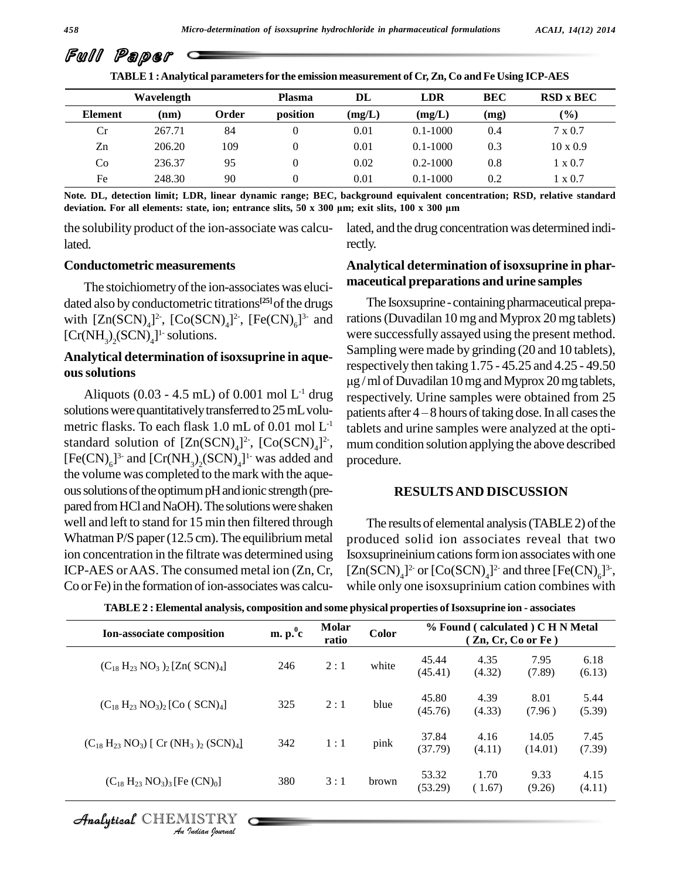| TABLE 1 : Analytical parameters for the emission measurement of Cr, Zn, Co and Fe Using ICP-AES |            |       |          |        |              |            |                         |
|-------------------------------------------------------------------------------------------------|------------|-------|----------|--------|--------------|------------|-------------------------|
|                                                                                                 | Wavelength |       | Plasma   | DL     | <b>LDR</b>   | <b>BEC</b> | <b>RSD</b> x <b>BEC</b> |
| <b>Element</b>                                                                                  | (nm)       | Order | position | (mg/L) | (mg/L)       | (mg)       | (%)                     |
| Cr                                                                                              | 267.71     | 84    |          | 0.01   | $0.1 - 1000$ | 0.4        | $7 \times 0.7$          |
| Zn                                                                                              | 206.20     | 109   |          | 0.01   | $0.1 - 1000$ | 0.3        | $10 \times 0.9$         |
| Co                                                                                              | 236.37     | 95    |          | 0.02   | $0.2 - 1000$ | 0.8        | $1 \times 0.7$          |
| Fe                                                                                              | 248.30     | 90    |          | 0.01   | $0.1 - 1000$ | 0.2        | 1 x 0.7                 |

Note. DL, detection limit; LDR, linear dynamic range; BEC, background equivalent concentration; RSD, relative standard  $\frac{1000}{1000}$ <br>Note. DL, detection limit; LDR, linear dynamic range; BEC, background equivalent concentration; R<br>deviation. For all elements: state, ion; entrance slits, 50 x 300 µm; exit slits, 100 x 300 µm

the solubility product of the ion-associate was calculated.

#### **Conductometric measurements**

The stoichiometry of the ion-associates was elucidated also by conductometric titrations<sup>[25]</sup>of the drugs <sup>7</sup> with  $[Zn(SCN)<sub>4</sub>]<sup>2</sup>$ ,  $[Co(SCN)<sub>4</sub>]<sup>2</sup>$ ,  $[Fe(CN)<sub>6</sub>]<sup>3</sup>$  and rations  $[Cr(NH<sub>3</sub>)<sub>2</sub>(SCN)<sub>4</sub>]$ <sup>1</sup> solutions.

#### **Analytical determination of isoxsuprine in aque oussolutions**

Aliquots (0.03 - 4.5 mL) of 0.001 mol  $L^1$  drug solutions were quantitatively transferred to  $25$  mL volu-<br>patients after  $4-8$  hours of taking dose. In all cases the metric flasks. To each flask 1.0 mL of 0.01 mol L standard solution of  $[Zn(SCN)<sub>4</sub>]^2$ ,  $[Co(SCN)<sub>4</sub>]^2$ , m  $[Fe(CN)<sub>6</sub>]$ <sup>3-</sup> and  $[Cr(NH<sub>3</sub>)<sub>2</sub>(SCN)<sub>4</sub>]$ <sup>1</sup>- was added and proced the volume was completed to the mark with the aque ous solutions of the optimum pH and ionic strength (prepared from HCl and NaOH). The solutions were shaken well and left to stand for 15 min then filtered through Whatman  $P/S$  paper (12.5 cm). The equilibrium metal ion concentration in the filtrate was determined using ICP-AES orAAS. The consumed metal ion (Zn,Cr, Co or Fe) in the formation of ion-associates was calcu-

lated, and the drug concentration was determined indirectly.

#### **Analytical determination of isoxsuprine in phar maceutical preparations and urine samples**

<sup>-1</sup> drug respectively. Urine samples were obtained from 25 <sup>-1</sup> tablets and urine samples were analyzed at the opti-The Isox suprine - containing pharmaceutical preparations(Duvadilan 10 mg and Myprox 20 mg tablets) were successfully assayed using the present method. Sampling were made by grinding (20 and 10 tablets), respectively then taking 1.75 - 45.25 and 4.25 - 49.50 µg / ml of Duvadilan 10 mg and Myprox 20 mg tablets,<br>respectively. Urine samples were obtained from 25<br>patients after 4 – 8 hours of taking dose. In all cases the mum condition solution applying the above described procedure.

#### **RESULTSAND DISCUSSION**

The results of elemental analysis  $(TABLE2)$  of the produced solid ion associates reveal that two Isoxsuprineinium cations form ion associates with one  $[Zn(SCN)<sub>4</sub>]<sup>2-</sup>$  or  $[Co(SCN)<sub>4</sub>]<sup>2-</sup>$  and three  $[Fe(CN)<sub>6</sub>]<sup>3-</sup>$ , while only one isoxsuprinium cation combines with

| Ion-associate composition                                                        | m. p. <sup>0</sup> c | Molar<br>ratio | Color |                  |                | % Found (calculated) C H N Metal<br>(Zn, Cr, Co or Fe) |                |
|----------------------------------------------------------------------------------|----------------------|----------------|-------|------------------|----------------|--------------------------------------------------------|----------------|
| $(C_{18} H_{23} NO_3)$ <sub>2</sub> [Zn(SCN) <sub>4</sub> ]                      | 246                  | 2:1            | white | 45.44<br>(45.41) | 4.35<br>(4.32) | 7.95<br>(7.89)                                         | 6.18<br>(6.13) |
| $(C_{18} H_{23} NO_3)_2 [Co (SCN)_4]$                                            | 325                  | 2:1            | blue  | 45.80<br>(45.76) | 4.39<br>(4.33) | 8.01<br>(7.96)                                         | 5.44<br>(5.39) |
| $(C_{18} H_{23} NO_3)$ [ Cr (NH <sub>3</sub> ) <sub>2</sub> (SCN) <sub>4</sub> ] | 342                  | 1:1            | pink  | 37.84<br>(37.79) | 4.16<br>(4.11) | 14.05<br>(14.01)                                       | 7.45<br>(7.39) |
| $(C_{18} H_{23} NO_3)_3$ [Fe $(CN)_0$ ]                                          | 380                  | 3:1            | brown | 53.32<br>(53.29) | 1.70<br>(1.67) | 9.33<br>(9.26)                                         | 4.15<br>(4.11) |

**TABLE 2 : Elemental analysis, composition and some physical properties ofIsoxsuprine ion - associates**

Full Paper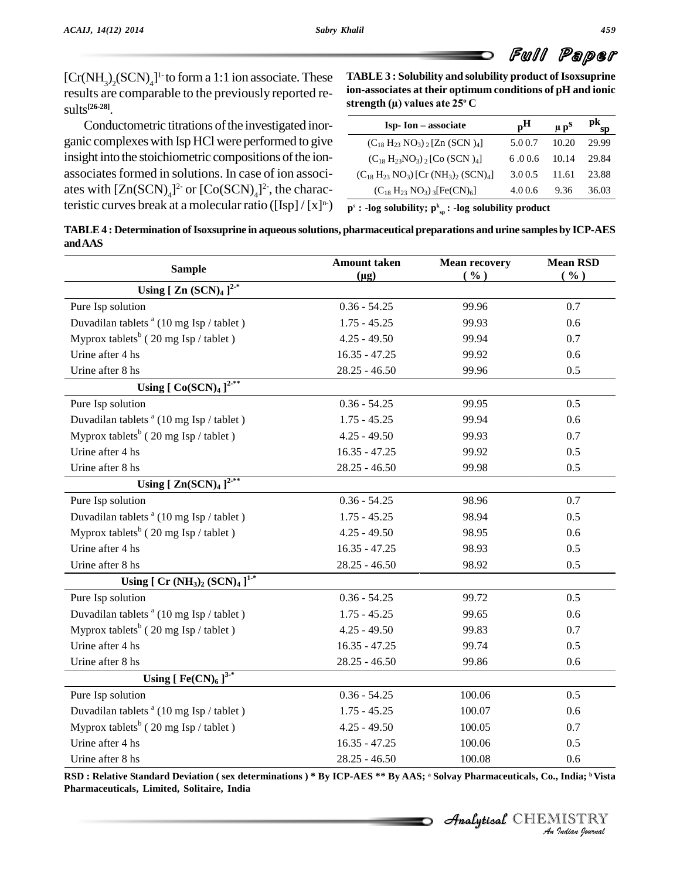# Full Paper

 $[Cr(NH<sub>3</sub>)<sub>2</sub>(SCN)<sub>4</sub>]$ <sup>1</sup> to form a 1:1 ion associate. These TABL results are comparable to the previously reported re-**[26-28]**.

Conductometric titrations of the investigated inorganic complexeswith Isp HCl were performed to give insight into the stoichiometric compositions of the ionassociates formed in solutions. In case of ion associates with  $[Zn(SCN)<sub>4</sub>]<sup>2</sup>$  or  $[Co(SCN)<sub>4</sub>]<sup>2</sup>$ , the characteristic curves break at a molecular ratio ([Isp] /  $[x]^{n}$ )

**TABLE 3 : Solubility and solubility product of Isoxsuprine strength (µ) values ate <sup>25</sup> ion-associates at their optimum conditions of pH and ionic**

| strength (µ) values ate 25° C                                                   |                           |                      |          |  |  |
|---------------------------------------------------------------------------------|---------------------------|----------------------|----------|--|--|
| Isp-Ion – associate                                                             | $\mathbf{p}^{\mathbf{H}}$ | $\mu$ p <sup>S</sup> | pk<br>SD |  |  |
| $(C_{18} H_{23} NO_3)$ , [Zn (SCN) <sub>4</sub> ]                               | 5.00.7                    | 10.20                | 29.99    |  |  |
| $(C_{18} H_{23} NO_3)$ , [Co (SCN) <sub>4</sub> ]                               | 6.006                     | 10.14                | 29.84    |  |  |
| $(C_{18} H_{23} NO_3)$ [Cr (NH <sub>3</sub> ) <sub>2</sub> (SCN) <sub>4</sub> ] | 3.00.5                    | 11.61                | 23.88    |  |  |
| $(C_{18} H_{23} NO_3)$ 3 [Fe(CN) <sub>6</sub> ]                                 | 4.00.6                    | 9.36                 | 36.03    |  |  |
|                                                                                 |                           |                      |          |  |  |

 $\mathbf{p}^{\mathrm{s}}$  **: -log** solubility;  $\mathbf{p}^{\mathrm{k}}_{\mathrm{sp}}$  **: -log** solubility product

**TABLE4 : Determination ofIsoxsuprine in aqueoussolutions, pharmaceutical preparations and urine samples by ICP-AES andAAS**

| <b>Sample</b>                                       | <b>Amount taken</b> | <b>Mean recovery</b> | <b>Mean RSD</b> |  |
|-----------------------------------------------------|---------------------|----------------------|-----------------|--|
| Using [ Zn $(SCN)_4$ ] <sup>2-*</sup>               | $(\mu g)$           | ( %)                 | ( %)            |  |
|                                                     |                     |                      |                 |  |
| Pure Isp solution                                   | $0.36 - 54.25$      | 99.96                | 0.7             |  |
| Duvadilan tablets <sup>a</sup> (10 mg Isp / tablet) | $1.75 - 45.25$      | 99.93                | 0.6             |  |
| Myprox tablets <sup>b</sup> (20 mg Isp / tablet)    | $4.25 - 49.50$      | 99.94                | 0.7             |  |
| Urine after 4 hs                                    | $16.35 - 47.25$     | 99.92                | 0.6             |  |
| Urine after 8 hs                                    | $28.25 - 46.50$     | 99.96                | 0.5             |  |
| Using $[Co(SCN)4]^{2-*}$                            |                     |                      |                 |  |
| Pure Isp solution                                   | $0.36 - 54.25$      | 99.95                | 0.5             |  |
| Duvadilan tablets <sup>a</sup> (10 mg Isp / tablet) | $1.75 - 45.25$      | 99.94                | 0.6             |  |
| Myprox tablets <sup>b</sup> (20 mg Isp / tablet)    | $4.25 - 49.50$      | 99.93                | 0.7             |  |
| Urine after 4 hs                                    | $16.35 - 47.25$     | 99.92                | 0.5             |  |
| Urine after 8 hs                                    | $28.25 - 46.50$     | 99.98                | 0.5             |  |
| Using $[ Zn(SCN)4 ]^{2^{-**}}$                      |                     |                      |                 |  |
| Pure Isp solution                                   | $0.36 - 54.25$      | 98.96                | 0.7             |  |
| Duvadilan tablets <sup>a</sup> (10 mg Isp / tablet) | $1.75 - 45.25$      | 98.94                | 0.5             |  |
| Myprox tablets <sup>b</sup> (20 mg Isp / tablet)    | $4.25 - 49.50$      | 98.95                | 0.6             |  |
| Urine after 4 hs                                    | $16.35 - 47.25$     | 98.93                | 0.5             |  |
| Urine after 8 hs                                    | $28.25 - 46.50$     | 98.92                | 0.5             |  |
| Using [ $Cr(NH_3)_2 (SCN)_4$ ] <sup>1-*</sup>       |                     |                      |                 |  |
| Pure Isp solution                                   | $0.36 - 54.25$      | 99.72                | 0.5             |  |
| Duvadilan tablets <sup>a</sup> (10 mg Isp / tablet) | $1.75 - 45.25$      | 99.65                | 0.6             |  |
| Myprox tablets <sup>b</sup> (20 mg Isp / tablet)    | $4.25 - 49.50$      | 99.83                | 0.7             |  |
| Urine after 4 hs                                    | $16.35 - 47.25$     | 99.74                | 0.5             |  |
| Urine after 8 hs                                    | $28.25 - 46.50$     | 99.86                | 0.6             |  |
| Using [ $\text{Fe(CN)}_{6}$ ] <sup>3-*</sup>        |                     |                      |                 |  |
| Pure Isp solution                                   | $0.36 - 54.25$      | 100.06               | 0.5             |  |
| Duvadilan tablets $a(10 \text{ mg Isp / tablet})$   | $1.75 - 45.25$      | 100.07               | 0.6             |  |
| Myprox tablets <sup>b</sup> (20 mg Isp / tablet)    | $4.25 - 49.50$      | 100.05               | 0.7             |  |
| Urine after 4 hs                                    | $16.35 - 47.25$     | 100.06               | 0.5             |  |
| Urine after 8 hs                                    | $28.25 - 46.50$     | 100.08               | 0.6             |  |

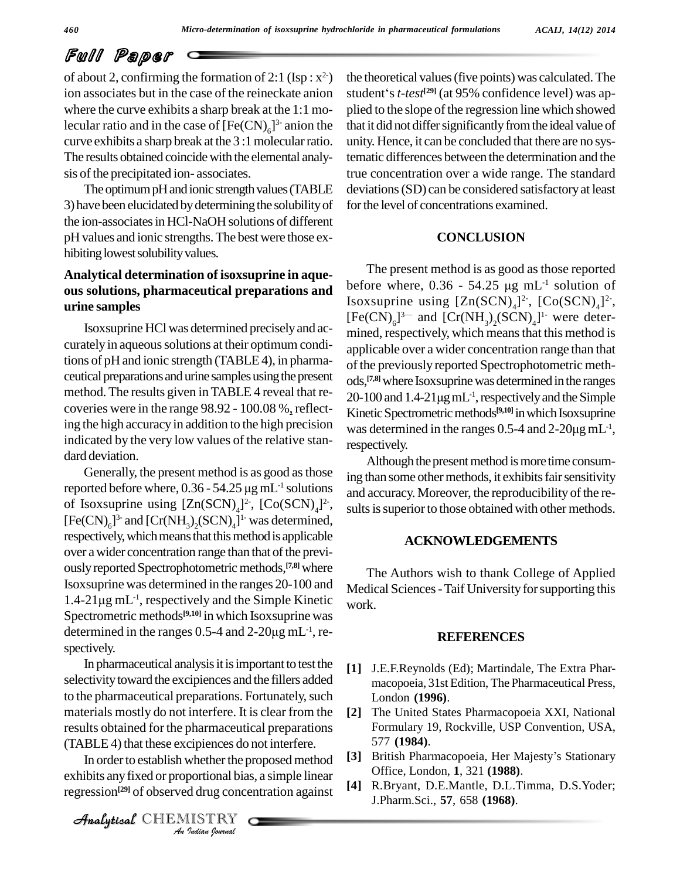# Full Paper

of about 2, confirming the formation of 2:1 (Isp :  $x^2$ ) ion associates but in the case of the reineckate anion where the curve exhibits a sharp break at the 1:1 molecular ratio and in the case of  $[Fe(CN)<sub>6</sub>]$ <sup>3</sup> anion the that it curve exhibits a sharp break at the 3:1 molecular ratio. The results obtained coincide with the elemental analysis of the precipitated ion-associates.

The optimum pH and ionic strength values (TABLE 3) have been elucidated by determining the solubility of the ion-associates in HCl-NaOH solutions of different pH values and ionic strengths.The best were those ex hibiting lowest solubility values.

#### **Analytical determination of isoxsuprine in aque ous solutions, pharmaceutical preparations and urine samples**

Isoxsuprine HClwas determined preciselyand ac curately in aqueous solutions at their optimum conditions of pH and ionic strength (TABLE 4), in pharmaceutical preparations and urine samples using the present method.The results given inTABLE 4 reveal that re coveries were in the range 98.92 - 100.08 %, reflecting the high accuracy in addition to the high precision indicated by the very low values of the relative stan dard deviation.

Generally, the present method is as good as those dard deviation.<br>
Generally, the present method is as good as those ing the reported before where,  $0.36 - 54.25 \mu g \text{ mL}^{-1}$  solutions of Isoxsuprine using  $[Zn(SCN)<sub>4</sub>]^2$ ,  $[Co(SCN)<sub>4</sub>]^2$ , su  $[Fe(CN)<sub>6</sub>]$ <sup>3-</sup> and  $[Cr(NH<sub>3</sub>)<sub>2</sub>(SCN)<sub>4</sub>]$ <sup>1-</sup> was determined, respectively, which means that this method is applicable over a wider concentration range than that of the previously reported Spectrophotometric methods, <sup>[7,8]</sup> where<br>Isox suprine was determined in the ranges 20-100 and Medic<br>1.4-21 $\mu$ g mL<sup>-1</sup>, respectively and the Simple Kinetic work Isoxsuprine was determined in the ranges 20-100 and <sup>-1</sup>, respectively and the Simple Kinetic  $w_{\text{ork}}$ Spectrometric methods **[9,10]** in which Isoxsuprine was  $1.4-21\mu\text{g m}$ L<sup>-1</sup>, respectively and the Simple Kinetic work<br>Spectrometric methods<sup>[9,10]</sup> in which Isox suprine was<br>determined in the ranges  $0.5-4$  and  $2-20\mu\text{g m}$ L<sup>-1</sup>, respectively.

(TABLE 4) that these excipiences do not interfere. In pharmaceutical analysis it is important to test the selectivity toward the excipiences and the fillers added to the pharmaceutical preparations. Fortunately, such materials mostly do not interfere. It is clear from the [2] results obtained for the pharmaceutical preparations

*Indian*<br>*Indian*<br>*Indian*<br>*I*ndian *Iournal*<br>*Indian Journal* In order to establish whether the proposed method exhibits anyfixed or proportional bias, a simple linear regression **[29]** of observed drug concentration against

CHEMISTRY

 $2^2$ ) the theoretical values (five points) was calculated. The the theoretical values (five points) was calculated. The<br>student's *t-test<sup>[29]</sup>* (at 95% confidence level) was applied to the slope of the regression line which showed that it did not differ significantly from the ideal value of unity. Hence, it can be concluded that there are no systematic differences between the determination and the true concentration over a wide range. The standard deviations(SD) can be considered satisfactoryat least for the level of concentrations examined.

#### **CONCLUSION**

The present method is as good as those reported The present method is as good as those reported<br>before where,  $0.36 - 54.25 \mu g \text{ mL}^{-1}$  solution of Isoxsuprine using  $[Zn(SCN)<sub>4</sub>]<sup>2</sup>$ ,  $[Co(SCN)<sub>4</sub>]<sup>2</sup>$ ,<br>[Fe(CN)<sub>6</sub>]<sup>3-</sup> and  $[Cr(NH<sub>3</sub>)<sub>2</sub>(SCN)<sub>4</sub>]$ <sup>1</sup> were deter- $[Fe(CN)<sub>6</sub>]$ <sup>3-</sup> and  $[Cr(NH<sub>3</sub>)<sub>2</sub>(SCN)<sub>4</sub>]$ <sup>1</sup> were determined, respectively, which means that this method is applicable over a wider concentration range than that of the previously reported Spectrophotometric meth ods, **[7,8]**where Isoxsuprinewas determined inthe ranges of the previously reported Spectrophotometric meth-<br>ods,<sup>[7,8]</sup> where Isoxsuprine was determined in the ranges<br>20-100 and 1.4-21µg mL<sup>-1</sup>, respectively and the Simple Kinetic Spectrometric methods<sup>[9,10]</sup> in which Isoxsuprine 20-100 and 1.4-21 $\mu$ g mL<sup>-1</sup>, respectively and the Simple<br>Kinetic Spectrometric methods<sup>[9,10]</sup> in which Isox suprine<br>was determined in the ranges 0.5-4 and 2-20 $\mu$ g mL<sup>-1</sup>,  $\cdot^{-1}$ , respectively.

Although the present method is more time consuming than some other methods, it exhibits fair sensitivity and accuracy. Moreover, the reproducibility of the results is superior to those obtained with other methods.

#### **ACKNOWLEDGEMENTS**

The Authors wish to thank College of Applied Medical Sciences - Taif University for supporting this work.

#### **REFERENCES**

- **[1]** J.E.F.Reynolds (Ed); Martindale, The Extra Phar macopoeia, 31st Edition, The Pharmaceutical Press, London **(1996)**.
- **[2]** The United States Pharmacopoeia XXI, National Formulary 19, Rockville, USP Convention, USA, 577 **(1984)**.
- [3] British Pharmacopoeia, Her Majesty's Stationary Office, London, **1**, 321 **(1988)**.
- **[4]** R.Bryant, D.E.Mantle, D.L.Timma, D.S.Yoder; J.Pharm.Sci., **57**, 658 **(1968)**.